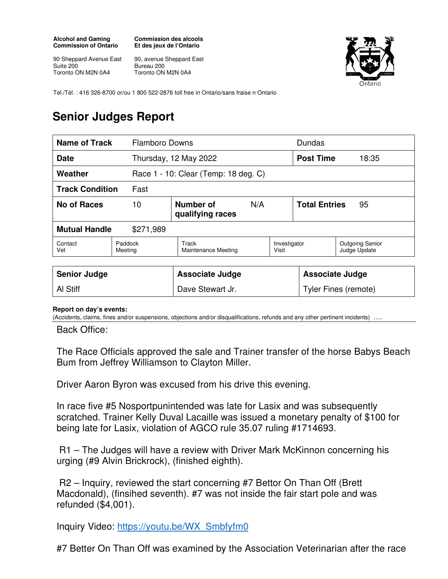## **Alcohol and Gaming Commission of Ontario**

**Commission des alcools Et des jeux de l'Ontario** 

90 Sheppard Avenue East<br>Suite 200 Suite 200 Toronto ON M2N 0A4

90, avenue Sheppard East Bureau 200 Toronto ON M2N 0A4



Tel./Tél. : 416 326-8700 or/ou 1 800 522-2876 toll free in Ontario/sans fraise n Ontario

## **Senior Judges Report**

| Name of Track                     |                    | <b>Flamboro Downs</b>                |     |                       |                      | Dundas                                 |  |
|-----------------------------------|--------------------|--------------------------------------|-----|-----------------------|----------------------|----------------------------------------|--|
| <b>Date</b>                       |                    | Thursday, 12 May 2022                |     |                       | <b>Post Time</b>     | 18:35                                  |  |
| Weather                           |                    | Race 1 - 10: Clear (Temp: 18 deg. C) |     |                       |                      |                                        |  |
| <b>Track Condition</b>            | Fast               |                                      |     |                       |                      |                                        |  |
| No of Races                       | 10                 | Number of<br>qualifying races        | N/A |                       | <b>Total Entries</b> | 95                                     |  |
| <b>Mutual Handle</b><br>\$271,989 |                    |                                      |     |                       |                      |                                        |  |
| Contact<br>Vet                    | Paddock<br>Meeting | Track<br>Maintenance Meeting         |     | Investigator<br>Visit |                      | <b>Outgoing Senior</b><br>Judge Update |  |

| <b>Senior Judge</b> | <b>Associate Judge</b> | Associate Judge      |
|---------------------|------------------------|----------------------|
| Al Stiff            | Dave Stewart Jr.       | Tyler Fines (remote) |

## **Report on day's events:**

(Accidents, claims, fines and/or suspensions, objections and/or disqualifications, refunds and any other pertinent incidents) ….

Back Office:

The Race Officials approved the sale and Trainer transfer of the horse Babys Beach Bum from Jeffrey Williamson to Clayton Miller.

Driver Aaron Byron was excused from his drive this evening.

In race five #5 Nosportpunintended was late for Lasix and was subsequently scratched. Trainer Kelly Duval Lacaille was issued a monetary penalty of \$100 for being late for Lasix, violation of AGCO rule 35.07 ruling #1714693.

 R1 – The Judges will have a review with Driver Mark McKinnon concerning his urging (#9 Alvin Brickrock), (finished eighth).

 R2 – Inquiry, reviewed the start concerning #7 Bettor On Than Off (Brett Macdonald), (finsihed seventh). #7 was not inside the fair start pole and was refunded (\$4,001).

Inquiry Video: https://youtu.be/WX\_Smbfyfm0

#7 Better On Than Off was examined by the Association Veterinarian after the race